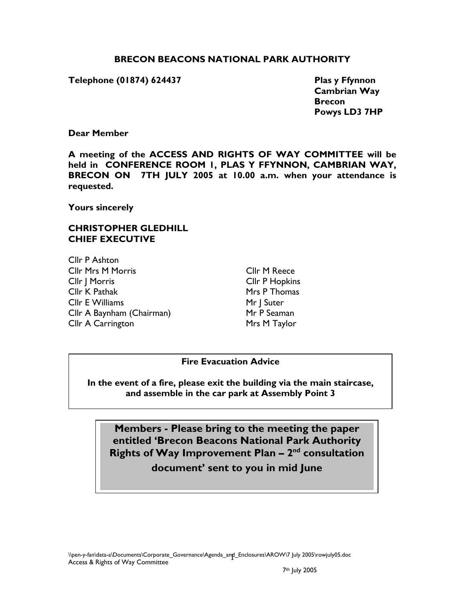### **BRECON BEACONS NATIONAL PARK AUTHORITY**

#### Telephone (01874) 624437 **Plas y Ffynnon**

 **Cambrian Way Brecon Brecon Brecon Powys LD3 7HP** 

#### **Dear Member**

**A meeting of the ACCESS AND RIGHTS OF WAY COMMITTEE will be held in CONFERENCE ROOM 1, PLAS Y FFYNNON, CAMBRIAN WAY, BRECON ON 7TH JULY 2005 at 10.00 a.m. when your attendance is requested.** 

**Yours sincerely** 

## **CHRISTOPHER GLEDHILL CHIEF EXECUTIVE**

Cllr P Ashton Cllr Mrs M Morris Cllr J Morris Cllr K Pathak Cllr E Williams Cllr A Baynham (Chairman) Cllr A Carrington

Cllr M Reece Cllr P Hopkins Mrs P Thomas Mr | Suter Mr P Seaman Mrs M Taylor

#### **Fire Evacuation Advice**

**In the event of a fire, please exit the building via the main staircase, and assemble in the car park at Assembly Point 3** 

**Members - Please bring to the meeting the paper entitled 'Brecon Beacons National Park Authority**  Rights of Way Improvement Plan - 2<sup>nd</sup> consultation **document' sent to you in mid June**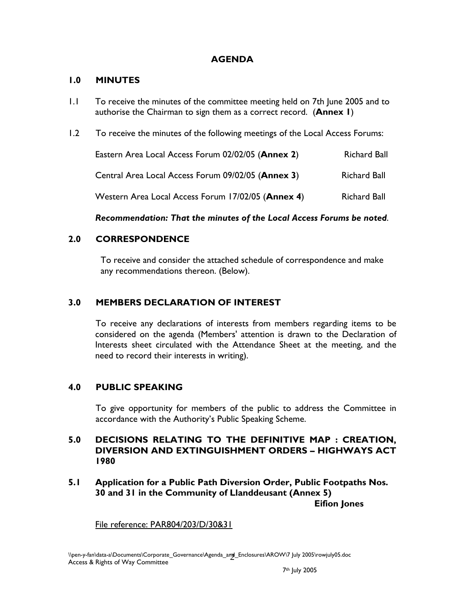## **AGENDA**

### **1.0 MINUTES**

- 1.1 To receive the minutes of the committee meeting held on 7th June 2005 and to authorise the Chairman to sign them as a correct record. (**Annex 1**)
- 1.2 To receive the minutes of the following meetings of the Local Access Forums:

| Eastern Area Local Access Forum 02/02/05 (Annex 2) | <b>Richard Ball</b> |
|----------------------------------------------------|---------------------|
| Central Area Local Access Forum 09/02/05 (Annex 3) | <b>Richard Ball</b> |
| Western Area Local Access Forum 17/02/05 (Annex 4) | <b>Richard Ball</b> |

### *Recommendation: That the minutes of the Local Access Forums be noted*.

## **2.0 CORRESPONDENCE**

To receive and consider the attached schedule of correspondence and make any recommendations thereon. (Below).

## **3.0 MEMBERS DECLARATION OF INTEREST**

 To receive any declarations of interests from members regarding items to be considered on the agenda (Members' attention is drawn to the Declaration of Interests sheet circulated with the Attendance Sheet at the meeting, and the need to record their interests in writing).

## **4.0 PUBLIC SPEAKING**

To give opportunity for members of the public to address the Committee in accordance with the Authority's Public Speaking Scheme.

### **5.0 DECISIONS RELATING TO THE DEFINITIVE MAP : CREATION, DIVERSION AND EXTINGUISHMENT ORDERS – HIGHWAYS ACT 1980**

**5.1 Application for a Public Path Diversion Order, Public Footpaths Nos. 30 and 31 in the Community of Llanddeusant (Annex 5)** 

**Eifion Jones** 

File reference: PAR804/203/D/30&31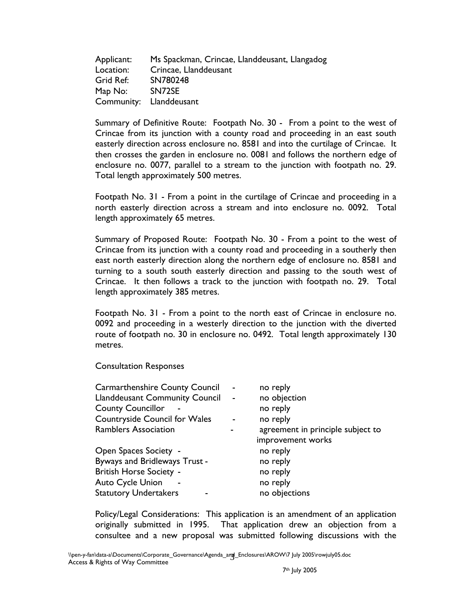Applicant: Ms Spackman, Crincae, Llanddeusant, Llangadog Location: Crincae, Llanddeusant Grid Ref: SN780248 Map No: SN72SE Community: Llanddeusant

Summary of Definitive Route: Footpath No. 30 - From a point to the west of Crincae from its junction with a county road and proceeding in an east south easterly direction across enclosure no. 8581 and into the curtilage of Crincae. It then crosses the garden in enclosure no. 0081 and follows the northern edge of enclosure no. 0077, parallel to a stream to the junction with footpath no. 29. Total length approximately 500 metres.

Footpath No. 31 - From a point in the curtilage of Crincae and proceeding in a north easterly direction across a stream and into enclosure no. 0092. Total length approximately 65 metres.

Summary of Proposed Route: Footpath No. 30 - From a point to the west of Crincae from its junction with a county road and proceeding in a southerly then east north easterly direction along the northern edge of enclosure no. 8581 and turning to a south south easterly direction and passing to the south west of Crincae. It then follows a track to the junction with footpath no. 29. Total length approximately 385 metres.

Footpath No. 31 - From a point to the north east of Crincae in enclosure no. 0092 and proceeding in a westerly direction to the junction with the diverted route of footpath no. 30 in enclosure no. 0492. Total length approximately 130 metres.

Consultation Responses

| <b>Carmarthenshire County Council</b> |                | no reply                          |
|---------------------------------------|----------------|-----------------------------------|
| <b>Llanddeusant Community Council</b> | $\blacksquare$ | no objection                      |
| <b>County Councillor</b>              |                | no reply                          |
| <b>Countryside Council for Wales</b>  |                | no reply                          |
| <b>Ramblers Association</b>           |                | agreement in principle subject to |
|                                       |                | improvement works                 |
| <b>Open Spaces Society -</b>          |                | no reply                          |
| Byways and Bridleways Trust -         |                | no reply                          |
| <b>British Horse Society -</b>        |                | no reply                          |
| <b>Auto Cycle Union</b>               |                | no reply                          |
| <b>Statutory Undertakers</b>          |                | no objections                     |

Policy/Legal Considerations: This application is an amendment of an application originally submitted in 1995. That application drew an objection from a consultee and a new proposal was submitted following discussions with the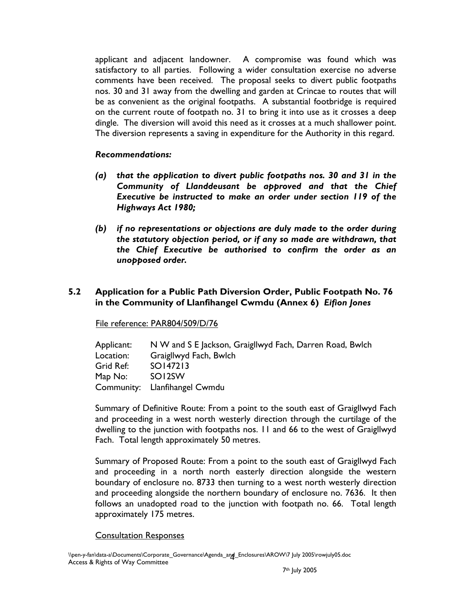applicant and adjacent landowner. A compromise was found which was satisfactory to all parties. Following a wider consultation exercise no adverse comments have been received. The proposal seeks to divert public footpaths nos. 30 and 31 away from the dwelling and garden at Crincae to routes that will be as convenient as the original footpaths. A substantial footbridge is required on the current route of footpath no. 31 to bring it into use as it crosses a deep dingle. The diversion will avoid this need as it crosses at a much shallower point. The diversion represents a saving in expenditure for the Authority in this regard.

#### *Recommendations:*

- *(a) that the application to divert public footpaths nos. 30 and 31 in the Community of Llanddeusant be approved and that the Chief Executive be instructed to make an order under section 119 of the Highways Act 1980;*
- *(b) if no representations or objections are duly made to the order during the statutory objection period, or if any so made are withdrawn, that the Chief Executive be authorised to confirm the order as an unopposed order.*

## **5.2 Application for a Public Path Diversion Order, Public Footpath No. 76 in the Community of Llanfihangel Cwmdu (Annex 6)** *Eifion Jones*

#### File reference: PAR804/509/D/76

| Applicant: | N W and S E Jackson, Graigllwyd Fach, Darren Road, Bwlch |
|------------|----------------------------------------------------------|
| Location:  | Graigllwyd Fach, Bwlch                                   |
| Grid Ref:  | SO147213                                                 |
| Map No:    | SOI <sub>2</sub> SW                                      |
|            | Community: Llanfihangel Cwmdu                            |

Summary of Definitive Route: From a point to the south east of Graigllwyd Fach and proceeding in a west north westerly direction through the curtilage of the dwelling to the junction with footpaths nos. 11 and 66 to the west of Graigllwyd Fach. Total length approximately 50 metres.

Summary of Proposed Route: From a point to the south east of Graigllwyd Fach and proceeding in a north north easterly direction alongside the western boundary of enclosure no. 8733 then turning to a west north westerly direction and proceeding alongside the northern boundary of enclosure no. 7636. It then follows an unadopted road to the junction with footpath no. 66. Total length approximately 175 metres.

#### Consultation Responses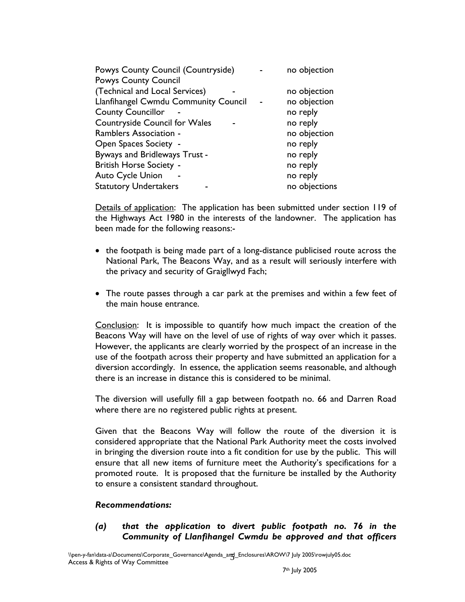| no objection  |
|---------------|
|               |
| no objection  |
| no objection  |
| no reply      |
| no reply      |
| no objection  |
| no reply      |
| no reply      |
| no reply      |
| no reply      |
| no objections |
|               |

Details of application: The application has been submitted under section 119 of the Highways Act 1980 in the interests of the landowner. The application has been made for the following reasons:-

- the footpath is being made part of a long-distance publicised route across the National Park, The Beacons Way, and as a result will seriously interfere with the privacy and security of Graigllwyd Fach;
- The route passes through a car park at the premises and within a few feet of the main house entrance.

Conclusion: It is impossible to quantify how much impact the creation of the Beacons Way will have on the level of use of rights of way over which it passes. However, the applicants are clearly worried by the prospect of an increase in the use of the footpath across their property and have submitted an application for a diversion accordingly. In essence, the application seems reasonable, and although there is an increase in distance this is considered to be minimal.

The diversion will usefully fill a gap between footpath no. 66 and Darren Road where there are no registered public rights at present.

Given that the Beacons Way will follow the route of the diversion it is considered appropriate that the National Park Authority meet the costs involved in bringing the diversion route into a fit condition for use by the public. This will ensure that all new items of furniture meet the Authority's specifications for a promoted route. It is proposed that the furniture be installed by the Authority to ensure a consistent standard throughout.

#### *Recommendations:*

*(a) that the application to divert public footpath no. 76 in the Community of Llanfihangel Cwmdu be approved and that officers*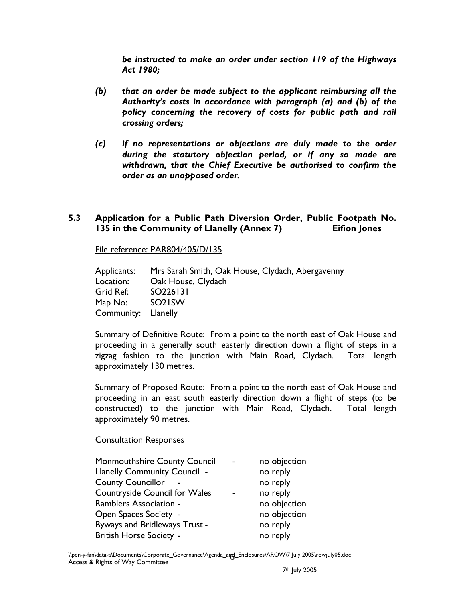*be instructed to make an order under section 119 of the Highways Act 1980;* 

- *(b) that an order be made subject to the applicant reimbursing all the Authority's costs in accordance with paragraph (a) and (b) of the policy concerning the recovery of costs for public path and rail crossing orders;*
- *(c) if no representations or objections are duly made to the order during the statutory objection period, or if any so made are withdrawn, that the Chief Executive be authorised to confirm the order as an unopposed order.*

### **5.3 Application for a Public Path Diversion Order, Public Footpath No. 135 in the Community of Llanelly (Annex 7) Eifion Jones**

File reference: PAR804/405/D/135

Applicants: Mrs Sarah Smith, Oak House, Clydach, Abergavenny Location: Oak House, Clydach Grid Ref: SO226131 Map No: SO21SW Community: Llanelly

Summary of Definitive Route: From a point to the north east of Oak House and proceeding in a generally south easterly direction down a flight of steps in a zigzag fashion to the junction with Main Road, Clydach. Total length approximately 130 metres.

Summary of Proposed Route: From a point to the north east of Oak House and proceeding in an east south easterly direction down a flight of steps (to be constructed) to the junction with Main Road, Clydach. Total length approximately 90 metres.

#### Consultation Responses

| Monmouthshire County Council        | no objection |
|-------------------------------------|--------------|
| <b>Llanelly Community Council -</b> | no reply     |
| <b>County Councillor</b>            | no reply     |
| Countryside Council for Wales       | no reply     |
| <b>Ramblers Association -</b>       | no objection |
| Open Spaces Society -               | no objection |
| Byways and Bridleways Trust -       | no reply     |
| <b>British Horse Society -</b>      | no reply     |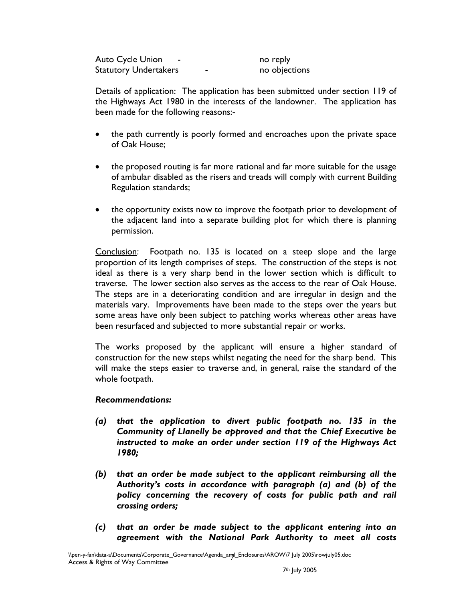Auto Cycle Union - The Control of the Mathematic Cycle Union Control of the Mathematic Cycle Statutory Undertakers **Face Entity Contract Contract** no objections

Details of application: The application has been submitted under section 119 of the Highways Act 1980 in the interests of the landowner. The application has been made for the following reasons:-

- the path currently is poorly formed and encroaches upon the private space of Oak House;
- the proposed routing is far more rational and far more suitable for the usage of ambular disabled as the risers and treads will comply with current Building Regulation standards;
- the opportunity exists now to improve the footpath prior to development of the adjacent land into a separate building plot for which there is planning permission.

Conclusion: Footpath no. 135 is located on a steep slope and the large proportion of its length comprises of steps. The construction of the steps is not ideal as there is a very sharp bend in the lower section which is difficult to traverse. The lower section also serves as the access to the rear of Oak House. The steps are in a deteriorating condition and are irregular in design and the materials vary. Improvements have been made to the steps over the years but some areas have only been subject to patching works whereas other areas have been resurfaced and subjected to more substantial repair or works.

The works proposed by the applicant will ensure a higher standard of construction for the new steps whilst negating the need for the sharp bend. This will make the steps easier to traverse and, in general, raise the standard of the whole footpath.

## *Recommendations:*

- *(a) that the application to divert public footpath no. 135 in the Community of Llanelly be approved and that the Chief Executive be instructed to make an order under section 119 of the Highways Act 1980;*
- *(b) that an order be made subject to the applicant reimbursing all the Authority's costs in accordance with paragraph (a) and (b) of the policy concerning the recovery of costs for public path and rail crossing orders;*
- *(c) that an order be made subject to the applicant entering into an agreement with the National Park Authority to meet all costs*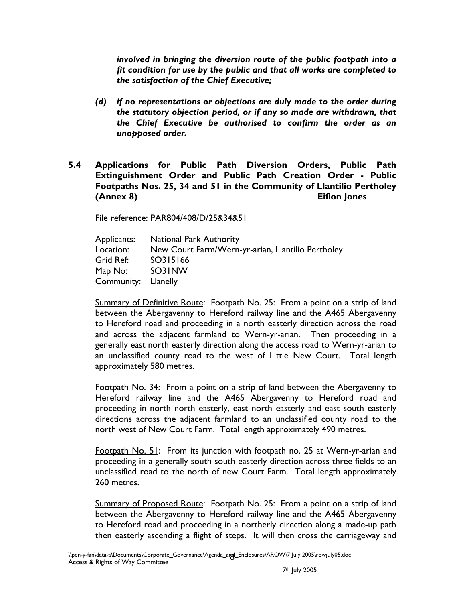*involved in bringing the diversion route of the public footpath into a fit condition for use by the public and that all works are completed to the satisfaction of the Chief Executive;* 

- *(d) if no representations or objections are duly made to the order during the statutory objection period, or if any so made are withdrawn, that the Chief Executive be authorised to confirm the order as an unopposed order.*
- **5.4 Applications for Public Path Diversion Orders, Public Path Extinguishment Order and Public Path Creation Order - Public Footpaths Nos. 25, 34 and 51 in the Community of Llantilio Pertholey (Annex 8) Eifion Jones**

File reference: PAR804/408/D/25&34&51

Applicants: National Park Authority Location: New Court Farm/Wern-yr-arian, Llantilio Pertholey Grid Ref: SO315166 Map No: SO31NW Community: Llanelly

Summary of Definitive Route: Footpath No. 25: From a point on a strip of land between the Abergavenny to Hereford railway line and the A465 Abergavenny to Hereford road and proceeding in a north easterly direction across the road and across the adjacent farmland to Wern-yr-arian. Then proceeding in a generally east north easterly direction along the access road to Wern-yr-arian to an unclassified county road to the west of Little New Court. Total length approximately 580 metres.

Footpath No. 34: From a point on a strip of land between the Abergavenny to Hereford railway line and the A465 Abergavenny to Hereford road and proceeding in north north easterly, east north easterly and east south easterly directions across the adjacent farmland to an unclassified county road to the north west of New Court Farm. Total length approximately 490 metres.

Footpath No. 51: From its junction with footpath no. 25 at Wern-yr-arian and proceeding in a generally south south easterly direction across three fields to an unclassified road to the north of new Court Farm. Total length approximately 260 metres.

Summary of Proposed Route: Footpath No. 25: From a point on a strip of land between the Abergavenny to Hereford railway line and the A465 Abergavenny to Hereford road and proceeding in a northerly direction along a made-up path then easterly ascending a flight of steps. It will then cross the carriageway and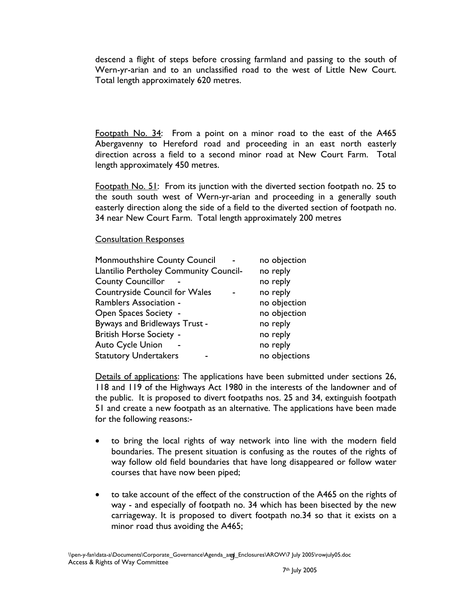descend a flight of steps before crossing farmland and passing to the south of Wern-yr-arian and to an unclassified road to the west of Little New Court. Total length approximately 620 metres.

Footpath No. 34: From a point on a minor road to the east of the A465 Abergavenny to Hereford road and proceeding in an east north easterly direction across a field to a second minor road at New Court Farm. Total length approximately 450 metres.

Footpath No. 51: From its junction with the diverted section footpath no. 25 to the south south west of Wern-yr-arian and proceeding in a generally south easterly direction along the side of a field to the diverted section of footpath no. 34 near New Court Farm. Total length approximately 200 metres

#### Consultation Responses

| no objection  |
|---------------|
| no reply      |
| no reply      |
| no reply      |
| no objection  |
| no objection  |
| no reply      |
| no reply      |
| no reply      |
| no objections |
|               |

Details of applications: The applications have been submitted under sections 26, 118 and 119 of the Highways Act 1980 in the interests of the landowner and of the public. It is proposed to divert footpaths nos. 25 and 34, extinguish footpath 51 and create a new footpath as an alternative. The applications have been made for the following reasons:-

- to bring the local rights of way network into line with the modern field boundaries. The present situation is confusing as the routes of the rights of way follow old field boundaries that have long disappeared or follow water courses that have now been piped;
- to take account of the effect of the construction of the A465 on the rights of way - and especially of footpath no. 34 which has been bisected by the new carriageway. It is proposed to divert footpath no.34 so that it exists on a minor road thus avoiding the A465;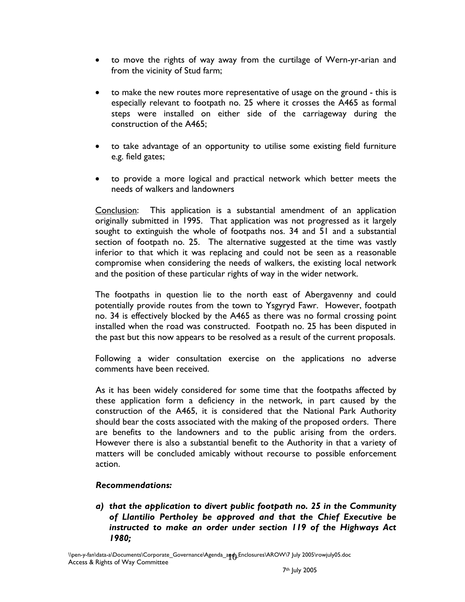- to move the rights of way away from the curtilage of Wern-yr-arian and from the vicinity of Stud farm;
- to make the new routes more representative of usage on the ground this is especially relevant to footpath no. 25 where it crosses the A465 as formal steps were installed on either side of the carriageway during the construction of the A465;
- to take advantage of an opportunity to utilise some existing field furniture e.g. field gates;
- to provide a more logical and practical network which better meets the needs of walkers and landowners

Conclusion: This application is a substantial amendment of an application originally submitted in 1995. That application was not progressed as it largely sought to extinguish the whole of footpaths nos. 34 and 51 and a substantial section of footpath no. 25. The alternative suggested at the time was vastly inferior to that which it was replacing and could not be seen as a reasonable compromise when considering the needs of walkers, the existing local network and the position of these particular rights of way in the wider network.

The footpaths in question lie to the north east of Abergavenny and could potentially provide routes from the town to Ysgyryd Fawr. However, footpath no. 34 is effectively blocked by the A465 as there was no formal crossing point installed when the road was constructed. Footpath no. 25 has been disputed in the past but this now appears to be resolved as a result of the current proposals.

Following a wider consultation exercise on the applications no adverse comments have been received.

As it has been widely considered for some time that the footpaths affected by these application form a deficiency in the network, in part caused by the construction of the A465, it is considered that the National Park Authority should bear the costs associated with the making of the proposed orders. There are benefits to the landowners and to the public arising from the orders. However there is also a substantial benefit to the Authority in that a variety of matters will be concluded amicably without recourse to possible enforcement action.

## *Recommendations:*

*a) that the application to divert public footpath no. 25 in the Community of Llantilio Pertholey be approved and that the Chief Executive be instructed to make an order under section 119 of the Highways Act 1980;*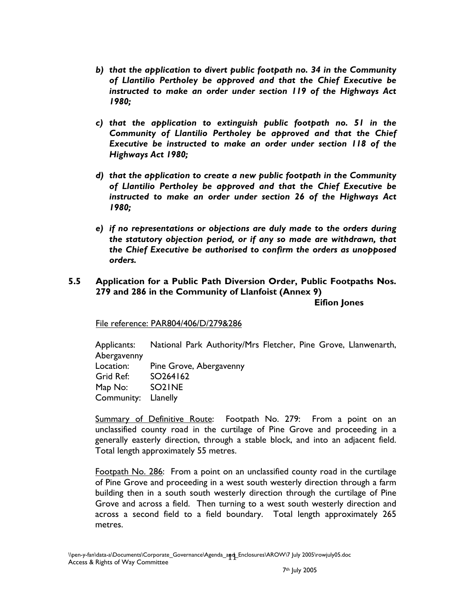- *b) that the application to divert public footpath no. 34 in the Community of Llantilio Pertholey be approved and that the Chief Executive be instructed to make an order under section 119 of the Highways Act 1980;*
- *c) that the application to extinguish public footpath no. 51 in the Community of Llantilio Pertholey be approved and that the Chief Executive be instructed to make an order under section 118 of the Highways Act 1980;*
- *d) that the application to create a new public footpath in the Community of Llantilio Pertholey be approved and that the Chief Executive be instructed to make an order under section 26 of the Highways Act 1980;*
- *e) if no representations or objections are duly made to the orders during the statutory objection period, or if any so made are withdrawn, that the Chief Executive be authorised to confirm the orders as unopposed orders.*

### **5.5 Application for a Public Path Diversion Order, Public Footpaths Nos. 279 and 286 in the Community of Llanfoist (Annex 9)**

**Eifion Jones** 

File reference: PAR804/406/D/279&286

Applicants: National Park Authority/Mrs Fletcher, Pine Grove, Llanwenarth, Abergavenny Location: Pine Grove, Abergavenny Grid Ref: SO264162 Map No: SO21NE Community: Llanelly

Summary of Definitive Route: Footpath No. 279: From a point on an unclassified county road in the curtilage of Pine Grove and proceeding in a generally easterly direction, through a stable block, and into an adjacent field. Total length approximately 55 metres.

Footpath No. 286: From a point on an unclassified county road in the curtilage of Pine Grove and proceeding in a west south westerly direction through a farm building then in a south south westerly direction through the curtilage of Pine Grove and across a field. Then turning to a west south westerly direction and across a second field to a field boundary. Total length approximately 265 metres.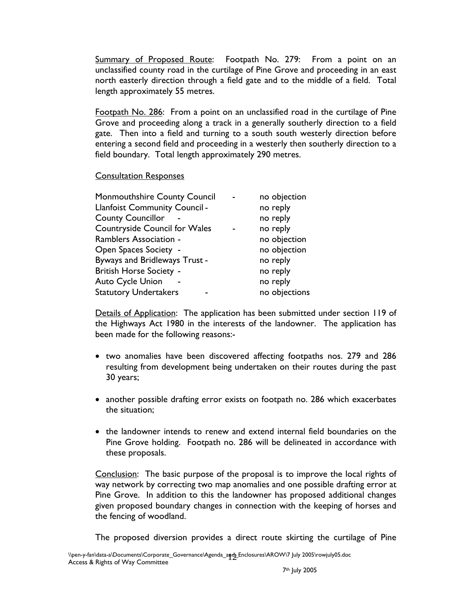Summary of Proposed Route: Footpath No. 279: From a point on an unclassified county road in the curtilage of Pine Grove and proceeding in an east north easterly direction through a field gate and to the middle of a field. Total length approximately 55 metres.

Footpath No. 286: From a point on an unclassified road in the curtilage of Pine Grove and proceeding along a track in a generally southerly direction to a field gate. Then into a field and turning to a south south westerly direction before entering a second field and proceeding in a westerly then southerly direction to a field boundary. Total length approximately 290 metres.

### Consultation Responses

| Monmouthshire County Council         | no objection  |
|--------------------------------------|---------------|
| <b>Llanfoist Community Council -</b> | no reply      |
| <b>County Councillor</b>             | no reply      |
| Countryside Council for Wales        | no reply      |
| Ramblers Association -               | no objection  |
| <b>Open Spaces Society -</b>         | no objection  |
| Byways and Bridleways Trust -        | no reply      |
| <b>British Horse Society -</b>       | no reply      |
| <b>Auto Cycle Union</b>              | no reply      |
| <b>Statutory Undertakers</b>         | no objections |

Details of Application: The application has been submitted under section 119 of the Highways Act 1980 in the interests of the landowner. The application has been made for the following reasons:-

- two anomalies have been discovered affecting footpaths nos. 279 and 286 resulting from development being undertaken on their routes during the past 30 years;
- another possible drafting error exists on footpath no. 286 which exacerbates the situation;
- the landowner intends to renew and extend internal field boundaries on the Pine Grove holding. Footpath no. 286 will be delineated in accordance with these proposals.

Conclusion: The basic purpose of the proposal is to improve the local rights of way network by correcting two map anomalies and one possible drafting error at Pine Grove. In addition to this the landowner has proposed additional changes given proposed boundary changes in connection with the keeping of horses and the fencing of woodland.

The proposed diversion provides a direct route skirting the curtilage of Pine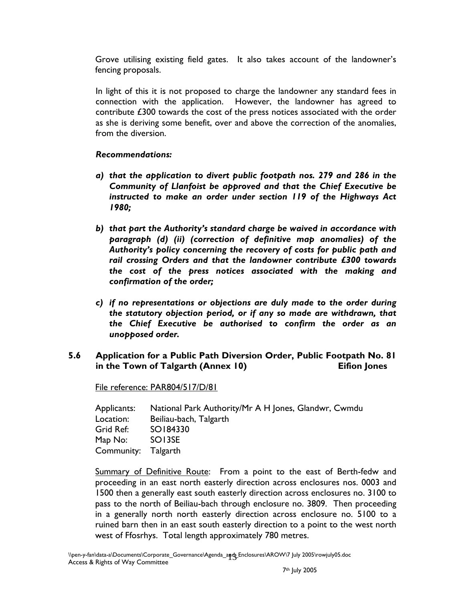Grove utilising existing field gates. It also takes account of the landowner's fencing proposals.

In light of this it is not proposed to charge the landowner any standard fees in connection with the application. However, the landowner has agreed to contribute £300 towards the cost of the press notices associated with the order as she is deriving some benefit, over and above the correction of the anomalies, from the diversion.

### *Recommendations:*

- *a) that the application to divert public footpath nos. 279 and 286 in the Community of Llanfoist be approved and that the Chief Executive be instructed to make an order under section 119 of the Highways Act 1980;*
- *b) that part the Authority's standard charge be waived in accordance with paragraph (d) (ii) (correction of definitive map anomalies) of the Authority's policy concerning the recovery of costs for public path and rail crossing Orders and that the landowner contribute £300 towards the cost of the press notices associated with the making and confirmation of the order;*
- *c) if no representations or objections are duly made to the order during the statutory objection period, or if any so made are withdrawn, that the Chief Executive be authorised to confirm the order as an unopposed order.*

### **5.6 Application for a Public Path Diversion Order, Public Footpath No. 81**  in the Town of Talgarth (Annex 10) **Eifion** Jones

File reference: PAR804/517/D/81

| Applicants: | National Park Authority/Mr A H Jones, Glandwr, Cwmdu |
|-------------|------------------------------------------------------|
| Location:   | Beiliau-bach, Talgarth                               |
| Grid Ref:   | SO184330                                             |
| Map No:     | SO13SE                                               |
| Community:  | Talgarth                                             |

Summary of Definitive Route: From a point to the east of Berth-fedw and proceeding in an east north easterly direction across enclosures nos. 0003 and 1500 then a generally east south easterly direction across enclosures no. 3100 to pass to the north of Beiliau-bach through enclosure no. 3809. Then proceeding in a generally north north easterly direction across enclosure no. 5100 to a ruined barn then in an east south easterly direction to a point to the west north west of Ffosrhys. Total length approximately 780 metres.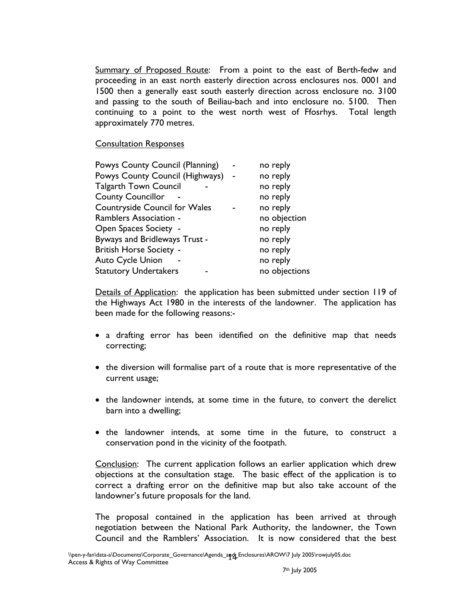Summary of Proposed Route: From a point to the east of Berth-fedw and proceeding in an east north easterly direction across enclosures nos. 0001 and 1500 then a generally east south easterly direction across enclosure no. 3100 and passing to the south of Beiliau-bach and into enclosure no. 5100. Then continuing to a point to the west north west of Ffosrhys. Total length approximately 770 metres.

#### Consultation Responses

| Powys County Council (Planning)      | no reply      |
|--------------------------------------|---------------|
| Powys County Council (Highways)      | no reply      |
| <b>Talgarth Town Council</b>         | no reply      |
| <b>County Councillor</b>             | no reply      |
| <b>Countryside Council for Wales</b> | no reply      |
| <b>Ramblers Association -</b>        | no objection  |
| <b>Open Spaces Society -</b>         | no reply      |
| Byways and Bridleways Trust -        | no reply      |
| <b>British Horse Society -</b>       | no reply      |
| <b>Auto Cycle Union</b>              | no reply      |
| <b>Statutory Undertakers</b>         | no objections |
|                                      |               |

Details of Application: the application has been submitted under section 119 of the Highways Act 1980 in the interests of the landowner. The application has been made for the following reasons:-

- a drafting error has been identified on the definitive map that needs correcting;
- the diversion will formalise part of a route that is more representative of the current usage;
- the landowner intends, at some time in the future, to convert the derelict barn into a dwelling;
- the landowner intends, at some time in the future, to construct a conservation pond in the vicinity of the footpath.

Conclusion: The current application follows an earlier application which drew objections at the consultation stage. The basic effect of the application is to correct a drafting error on the definitive map but also take account of the landowner's future proposals for the land.

The proposal contained in the application has been arrived at through negotiation between the National Park Authority, the landowner, the Town Council and the Ramblers' Association. It is now considered that the best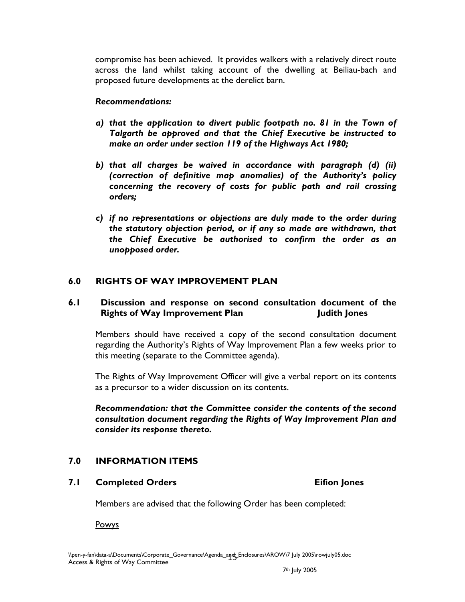compromise has been achieved. It provides walkers with a relatively direct route across the land whilst taking account of the dwelling at Beiliau-bach and proposed future developments at the derelict barn.

#### *Recommendations:*

- *a) that the application to divert public footpath no. 81 in the Town of Talgarth be approved and that the Chief Executive be instructed to make an order under section 119 of the Highways Act 1980;*
- *b) that all charges be waived in accordance with paragraph (d) (ii) (correction of definitive map anomalies) of the Authority's policy concerning the recovery of costs for public path and rail crossing orders;*
- *c) if no representations or objections are duly made to the order during the statutory objection period, or if any so made are withdrawn, that the Chief Executive be authorised to confirm the order as an unopposed order.*

## **6.0 RIGHTS OF WAY IMPROVEMENT PLAN**

### **6.1 Discussion and response on second consultation document of the Rights of Way Improvement Plan Fights in Tudith Jones**

Members should have received a copy of the second consultation document regarding the Authority's Rights of Way Improvement Plan a few weeks prior to this meeting (separate to the Committee agenda).

The Rights of Way Improvement Officer will give a verbal report on its contents as a precursor to a wider discussion on its contents.

*Recommendation: that the Committee consider the contents of the second consultation document regarding the Rights of Way Improvement Plan and consider its response thereto.* 

## **7.0 INFORMATION ITEMS**

## **7.1 Completed Orders Eifion Jones**

Members are advised that the following Order has been completed:

Powys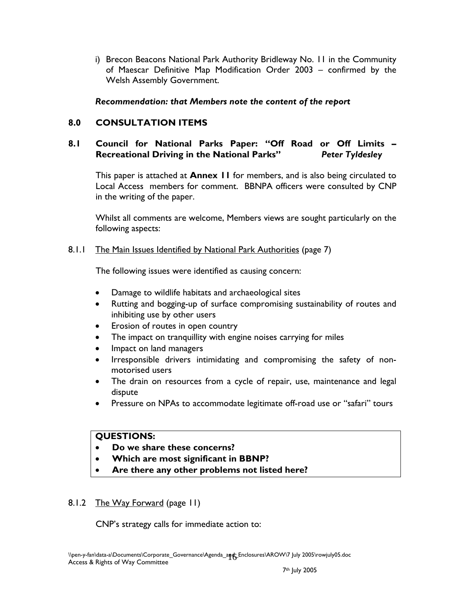i) Brecon Beacons National Park Authority Bridleway No. 11 in the Community of Maescar Definitive Map Modification Order 2003 – confirmed by the Welsh Assembly Government.

### *Recommendation: that Members note the content of the report*

# **8.0 CONSULTATION ITEMS**

### **8.1 Council for National Parks Paper: "Off Road or Off Limits – Recreational Driving in the National Parks"** *Peter Tyldesley*

This paper is attached at **Annex 11** for members, and is also being circulated to Local Access members for comment. BBNPA officers were consulted by CNP in the writing of the paper.

Whilst all comments are welcome, Members views are sought particularly on the following aspects:

### 8.1.1 The Main Issues Identified by National Park Authorities (page 7)

The following issues were identified as causing concern:

- Damage to wildlife habitats and archaeological sites
- Rutting and bogging-up of surface compromising sustainability of routes and inhibiting use by other users
- Erosion of routes in open country
- The impact on tranquillity with engine noises carrying for miles
- Impact on land managers
- Irresponsible drivers intimidating and compromising the safety of nonmotorised users
- The drain on resources from a cycle of repair, use, maintenance and legal dispute
- Pressure on NPAs to accommodate legitimate off-road use or "safari" tours

### **QUESTIONS:**

- **Do we share these concerns?**
- **Which are most significant in BBNP?**
- **Are there any other problems not listed here?**

## 8.1.2 The Way Forward (page 11)

CNP's strategy calls for immediate action to: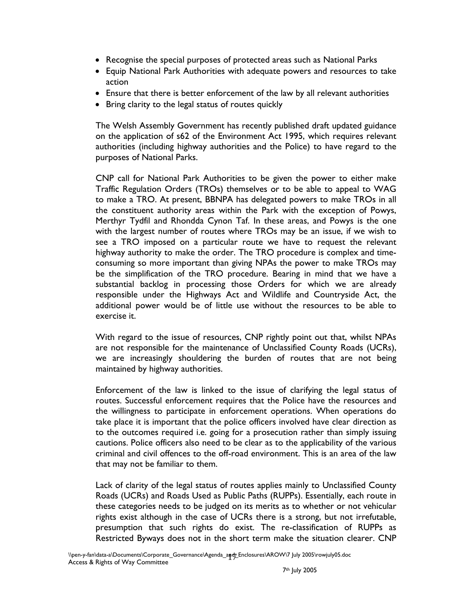- Recognise the special purposes of protected areas such as National Parks
- Equip National Park Authorities with adequate powers and resources to take action
- Ensure that there is better enforcement of the law by all relevant authorities
- Bring clarity to the legal status of routes quickly

The Welsh Assembly Government has recently published draft updated guidance on the application of s62 of the Environment Act 1995, which requires relevant authorities (including highway authorities and the Police) to have regard to the purposes of National Parks.

CNP call for National Park Authorities to be given the power to either make Traffic Regulation Orders (TROs) themselves or to be able to appeal to WAG to make a TRO. At present, BBNPA has delegated powers to make TROs in all the constituent authority areas within the Park with the exception of Powys, Merthyr Tydfil and Rhondda Cynon Taf. In these areas, and Powys is the one with the largest number of routes where TROs may be an issue, if we wish to see a TRO imposed on a particular route we have to request the relevant highway authority to make the order. The TRO procedure is complex and timeconsuming so more important than giving NPAs the power to make TROs may be the simplification of the TRO procedure. Bearing in mind that we have a substantial backlog in processing those Orders for which we are already responsible under the Highways Act and Wildlife and Countryside Act, the additional power would be of little use without the resources to be able to exercise it.

With regard to the issue of resources, CNP rightly point out that, whilst NPAs are not responsible for the maintenance of Unclassified County Roads (UCRs), we are increasingly shouldering the burden of routes that are not being maintained by highway authorities.

Enforcement of the law is linked to the issue of clarifying the legal status of routes. Successful enforcement requires that the Police have the resources and the willingness to participate in enforcement operations. When operations do take place it is important that the police officers involved have clear direction as to the outcomes required i.e. going for a prosecution rather than simply issuing cautions. Police officers also need to be clear as to the applicability of the various criminal and civil offences to the off-road environment. This is an area of the law that may not be familiar to them.

Lack of clarity of the legal status of routes applies mainly to Unclassified County Roads (UCRs) and Roads Used as Public Paths (RUPPs). Essentially, each route in these categories needs to be judged on its merits as to whether or not vehicular rights exist although in the case of UCRs there is a strong, but not irrefutable, presumption that such rights do exist. The re-classification of RUPPs as Restricted Byways does not in the short term make the situation clearer. CNP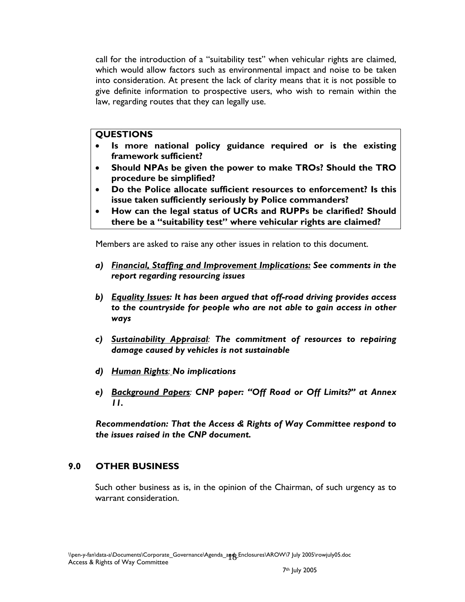call for the introduction of a "suitability test" when vehicular rights are claimed, which would allow factors such as environmental impact and noise to be taken into consideration. At present the lack of clarity means that it is not possible to give definite information to prospective users, who wish to remain within the law, regarding routes that they can legally use.

### **QUESTIONS**

- **Is more national policy guidance required or is the existing framework sufficient?**
- **Should NPAs be given the power to make TROs? Should the TRO procedure be simplified?**
- **Do the Police allocate sufficient resources to enforcement? Is this issue taken sufficiently seriously by Police commanders?**
- **How can the legal status of UCRs and RUPPs be clarified? Should there be a "suitability test" where vehicular rights are claimed?**

Members are asked to raise any other issues in relation to this document.

- *a) Financial, Staffing and Improvement Implications: See comments in the report regarding resourcing issues*
- *b) Equality Issues: It has been argued that off-road driving provides access to the countryside for people who are not able to gain access in other ways*
- *c) Sustainability Appraisal: The commitment of resources to repairing damage caused by vehicles is not sustainable*
- *d) Human Rights: No implications*
- *e) Background Papers: CNP paper: "Off Road or Off Limits?" at Annex 11.*

*Recommendation: That the Access & Rights of Way Committee respond to the issues raised in the CNP document.* 

## **9.0 OTHER BUSINESS**

 Such other business as is, in the opinion of the Chairman, of such urgency as to warrant consideration.